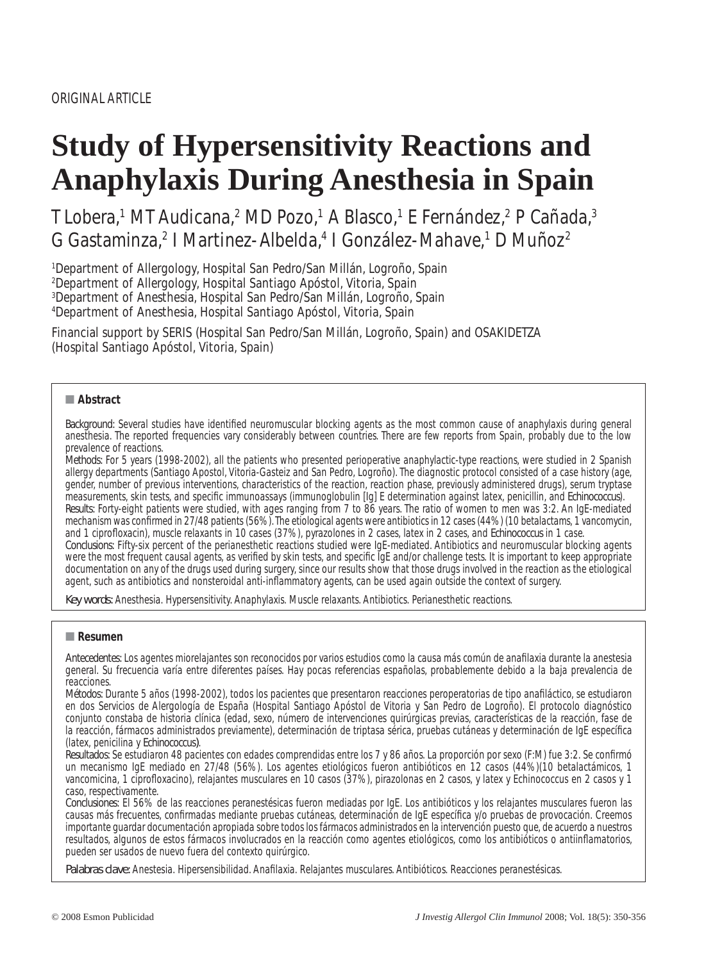# **Study of Hypersensitivity Reactions and Anaphylaxis During Anesthesia in Spain**

T Lobera,<sup>1</sup> MT Audicana,<sup>2</sup> MD Pozo,<sup>1</sup> A Blasco,<sup>1</sup> E Fernández,<sup>2</sup> P Cañada,<sup>3</sup> G Gastaminza,<sup>2</sup> I Martinez-Albelda,<sup>4</sup> I González-Mahave,<sup>1</sup> D Muñoz<sup>2</sup>

 Department of Allergology, Hospital San Pedro/San Millán, Logroño, Spain Department of Allergology, Hospital Santiago Apóstol, Vitoria, Spain Department of Anesthesia, Hospital San Pedro/San Millán, Logroño, Spain Department of Anesthesia, Hospital Santiago Apóstol, Vitoria, Spain

Financial support by SERIS (Hospital San Pedro/San Millán, Logroño, Spain) and OSAKIDETZA (Hospital Santiago Apóstol, Vitoria, Spain)

# ■ **Abstract**

Background: Several studies have identified neuromuscular blocking agents as the most common cause of anaphylaxis during general anesthesia. The reported frequencies vary considerably between countries. There are few reports from Spain, probably due to the low prevalence of reactions.

*Methods:* For 5 years (1998-2002), all the patients who presented perioperative anaphylactic-type reactions, were studied in 2 Spanish allergy departments (Santiago Apostol, Vitoria-Gasteiz and San Pedro, Logroño). The diagnostic protocol consisted of a case history (age, gender, number of previous interventions, characteristics of the reaction, reaction phase, previously administered drugs), serum tryptase measurements, skin tests, and specific immunoassays (immunoglobulin [Ig] E determination against latex, penicillin, and Echinococcus). *Results:* Forty-eight patients were studied, with ages ranging from 7 to 86 years. The ratio of women to men was 3:2. An IgE-mediated mechanism was confirmed in 27/48 patients (56%). The etiological agents were antibiotics in 12 cases (44%) (10 betalactams, 1 vancomycin, and 1 ciprofloxacin), muscle relaxants in 10 cases (37%), pyrazolones in 2 cases, latex in 2 cases, and *Echinococcus* in 1 case. *Conclusions:* Fifty-six percent of the perianesthetic reactions studied were IgE-mediated. Antibiotics and neuromuscular blocking agents were the most frequent causal agents, as verified by skin tests, and specific IgE and/or challenge tests. It is important to keep appropriate documentation on any of the drugs used during surgery, since our results show that those drugs involved in the reaction as the etiological agent, such as antibiotics and nonsteroidal anti-inflammatory agents, can be used again outside the context of surgery.

Key words: Anesthesia. Hypersensitivity. Anaphylaxis. Muscle relaxants. Antibiotics. Perianesthetic reactions.

# ■ **Resumen**

*Antecedentes:* Los agentes miorelajantes son reconocidos por varios estudios como la causa más común de anafilaxia durante la anestesia general. Su frecuencia varía entre diferentes países. Hay pocas referencias españolas, probablemente debido a la baja prevalencia de reacciones.

*Métodos:* Durante 5 años (1998-2002), todos los pacientes que presentaron reacciones peroperatorias de tipo anafi láctico, se estudiaron en dos Servicios de Alergología de España (Hospital Santiago Apóstol de Vitoria y San Pedro de Logroño). El protocolo diagnóstico conjunto constaba de historia clínica (edad, sexo, número de intervenciones quirúrgicas previas, características de la reacción, fase de la reacción, fármacos administrados previamente), determinación de triptasa sérica, pruebas cutáneas y determinación de IgE específica (latex, penicilina y *Echinococcus)*.

*Resultados: Se estudiaron 48 pacientes con edades comprendidas entre los 7 y 86 años. La proporción por sexo (F:M) fue 3:2. Se confirmó* un mecanismo IgE mediado en 27/48 (56%). Los agentes etiológicos fueron antibióticos en 12 casos (44%)(10 betalactámicos, 1 vancomicina, 1 ciprofloxacino), relajantes musculares en 10 casos (37%), pirazolonas en 2 casos, y latex y Echinococcus en 2 casos y 1 caso, respectivamente.

*Conclusiones:* El 56% de las reacciones peranestésicas fueron mediadas por IgE. Los antibióticos y los relajantes musculares fueron las causas más frecuentes, confirmadas mediante pruebas cutáneas, determinación de IgE específica y/o pruebas de provocación. Creemos importante guardar documentación apropiada sobre todos los fármacos administrados en la intervención puesto que, de acuerdo a nuestros resultados, algunos de estos fármacos involucrados en la reacción como agentes etiológicos, como los antibióticos o antiinflamatorios, pueden ser usados de nuevo fuera del contexto quirúrgico.

Palabras clave: Anestesia. Hipersensibilidad. Anafilaxia. Relajantes musculares. Antibióticos. Reacciones peranestésicas.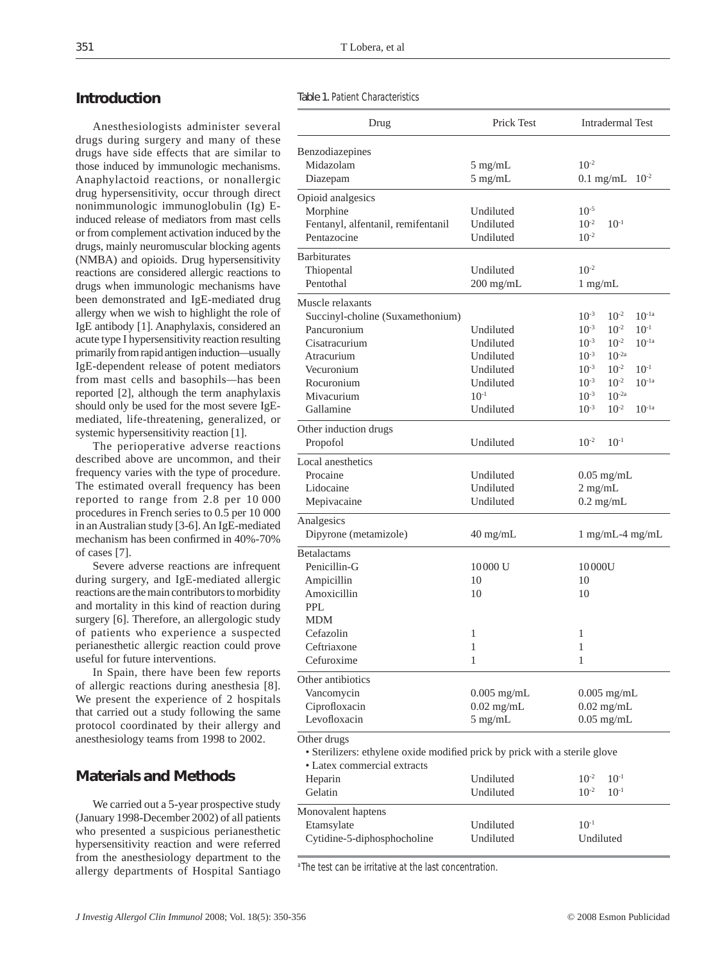# **Introduction**

Anesthesiologists administer several drugs during surgery and many of these drugs have side effects that are similar to those induced by immunologic mechanisms. Anaphylactoid reactions, or nonallergic drug hypersensitivity, occur through direct nonimmunologic immunoglobulin (Ig) Einduced release of mediators from mast cells or from complement activation induced by the drugs, mainly neuromuscular blocking agents (NMBA) and opioids. Drug hypersensitivity reactions are considered allergic reactions to drugs when immunologic mechanisms have been demonstrated and IgE-mediated drug allergy when we wish to highlight the role of IgE antibody [1]. Anaphylaxis, considered an acute type I hypersensitivity reaction resulting primarily from rapid antigen induction–usually IgE-dependent release of potent mediators from mast cells and basophils–has been reported [2], although the term anaphylaxis should only be used for the most severe IgEmediated, life-threatening, generalized, or systemic hypersensitivity reaction [1].

The perioperative adverse reactions described above are uncommon, and their frequency varies with the type of procedure. The estimated overall frequency has been reported to range from 2.8 per 10 000 procedures in French series to 0.5 per 10 000 in an Australian study [3-6]. An IgE-mediated mechanism has been confirmed in 40%-70% of cases [7].

Severe adverse reactions are infrequent during surgery, and IgE-mediated allergic reactions are the main contributors to morbidity and mortality in this kind of reaction during surgery [6]. Therefore, an allergologic study of patients who experience a suspected perianesthetic allergic reaction could prove useful for future interventions.

In Spain, there have been few reports of allergic reactions during anesthesia [8]. We present the experience of 2 hospitals that carried out a study following the same protocol coordinated by their allergy and anesthesiology teams from 1998 to 2002.

# **Materials and Methods**

We carried out a 5-year prospective study (January 1998-December 2002) of all patients who presented a suspicious perianesthetic hypersensitivity reaction and were referred from the anesthesiology department to the allergy departments of Hospital Santiago Table 1. Patient Characteristics

| Drug                                                                                                                                                      | Prick Test                                                                              | <b>Intradermal Test</b>                                                                                                                                                                                                                                                                          |  |  |
|-----------------------------------------------------------------------------------------------------------------------------------------------------------|-----------------------------------------------------------------------------------------|--------------------------------------------------------------------------------------------------------------------------------------------------------------------------------------------------------------------------------------------------------------------------------------------------|--|--|
| Benzodiazepines<br>Midazolam<br>Diazepam                                                                                                                  | $5 \text{ mg/mL}$<br>$5$ mg/mL                                                          | $10^{-2}$<br>$10^{-2}$<br>$0.1 \text{ mg/mL}$                                                                                                                                                                                                                                                    |  |  |
| Opioid analgesics<br>Morphine<br>Fentanyl, alfentanil, remifentanil<br>Pentazocine                                                                        | Undiluted<br>Undiluted<br>Undiluted                                                     | $10^{-5}$<br>$10^{-2}$<br>$10^{-1}$<br>$10^{-2}$                                                                                                                                                                                                                                                 |  |  |
| <b>Barbiturates</b><br>Thiopental<br>Pentothal                                                                                                            | Undiluted<br>$200$ mg/mL                                                                | $10^{-2}$<br>$1$ mg/mL                                                                                                                                                                                                                                                                           |  |  |
| Muscle relaxants<br>Succinyl-choline (Suxamethonium)<br>Pancuronium<br>Cisatracurium<br>Atracurium<br>Vecuronium<br>Rocuronium<br>Mivacurium<br>Gallamine | Undiluted<br>Undiluted<br>Undiluted<br>Undiluted<br>Undiluted<br>$10^{-1}$<br>Undiluted | $10^{-2}$<br>$10^{-1a}$<br>$10^{-3}$<br>$10^{-3}$<br>$10^{-2}$<br>$10^{-1}$<br>$10^{-3}$<br>$10^{-2}$<br>$10^{-1a}$<br>$10^{-3}$<br>$10^{-2a}$<br>$10^{-3}$<br>$10^{-2}$<br>$10^{-1}$<br>$10^{-2}$<br>$10^{-3}$<br>$10^{-1a}$<br>$10^{-2a}$<br>$10^{-3}$<br>$10^{-2}$<br>$10^{-1a}$<br>$10^{-3}$ |  |  |
| Other induction drugs<br>Propofol                                                                                                                         | Undiluted                                                                               | $10^{-2}$<br>$10^{-1}$                                                                                                                                                                                                                                                                           |  |  |
| Local anesthetics<br>Procaine<br>Lidocaine<br>Mepivacaine                                                                                                 | Undiluted<br>Undiluted<br>Undiluted                                                     | $0.05$ mg/mL<br>$2$ mg/mL<br>$0.2 \text{ mg/mL}$                                                                                                                                                                                                                                                 |  |  |
| Analgesics<br>Dipyrone (metamizole)                                                                                                                       | $40 \text{ mg/mL}$                                                                      | $1 \text{ mg/mL-4 mg/mL}$                                                                                                                                                                                                                                                                        |  |  |
| Betalactams<br>Penicillin-G<br>Ampicillin<br>Amoxicillin<br>PPL.<br><b>MDM</b><br>Cefazolin<br>Ceftriaxone<br>Cefuroxime                                  | 10000 U<br>10<br>10<br>1<br>1<br>$\mathbf{1}$                                           | 10000U<br>10<br>10<br>1<br>1<br>1                                                                                                                                                                                                                                                                |  |  |
| Other antibiotics<br>Vancomycin<br>Ciprofloxacin<br>Levofloxacin                                                                                          | $0.005$ mg/mL<br>$0.02 \text{ mg/mL}$<br>$5 \text{ mg/mL}$                              | $0.005$ mg/mL<br>$0.02 \text{ mg/mL}$<br>$0.05$ mg/mL                                                                                                                                                                                                                                            |  |  |
| Other drugs<br>• Sterilizers: ethylene oxide modified prick by prick with a sterile glove<br>• Latex commercial extracts<br>Heparin<br>Gelatin            | Undiluted<br>Undiluted                                                                  | $10^{-2}$<br>$10^{-1}$<br>$10^{-2}$<br>$10^{-1}$                                                                                                                                                                                                                                                 |  |  |
| Monovalent haptens<br>Etamsylate<br>Cytidine-5-diphosphocholine                                                                                           | Undiluted<br>Undiluted                                                                  | $10^{-1}$<br>Undiluted                                                                                                                                                                                                                                                                           |  |  |

<sup>a</sup> The test can be irritative at the last concentration.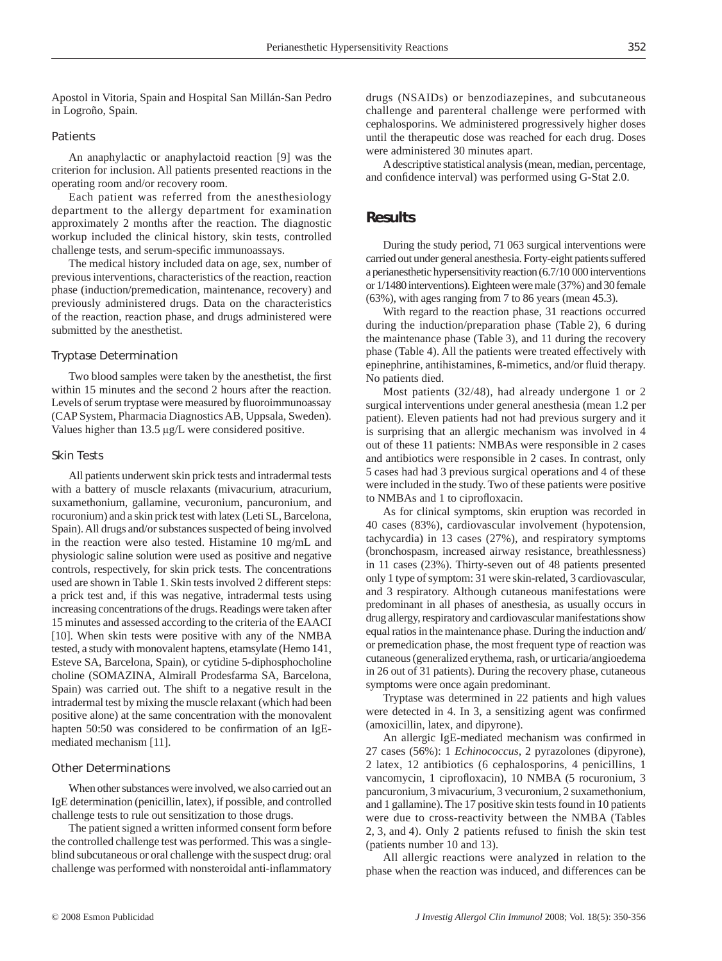Apostol in Vitoria, Spain and Hospital San Millán-San Pedro in Logroño, Spain.

#### *Patients*

An anaphylactic or anaphylactoid reaction [9] was the criterion for inclusion. All patients presented reactions in the operating room and/or recovery room.

Each patient was referred from the anesthesiology department to the allergy department for examination approximately 2 months after the reaction. The diagnostic workup included the clinical history, skin tests, controlled challenge tests, and serum-specific immunoassays.

The medical history included data on age, sex, number of previous interventions, characteristics of the reaction, reaction phase (induction/premedication, maintenance, recovery) and previously administered drugs. Data on the characteristics of the reaction, reaction phase, and drugs administered were submitted by the anesthetist.

#### *Tryptase Determination*

Two blood samples were taken by the anesthetist, the first within 15 minutes and the second 2 hours after the reaction. Levels of serum tryptase were measured by fluoroimmunoassay (CAP System, Pharmacia Diagnostics AB, Uppsala, Sweden). Values higher than 13.5 µg/L were considered positive.

#### *Skin Tests*

All patients underwent skin prick tests and intradermal tests with a battery of muscle relaxants (mivacurium, atracurium, suxamethonium, gallamine, vecuronium, pancuronium, and rocuronium) and a skin prick test with latex (Leti SL, Barcelona, Spain). All drugs and/or substances suspected of being involved in the reaction were also tested. Histamine 10 mg/mL and physiologic saline solution were used as positive and negative controls, respectively, for skin prick tests. The concentrations used are shown in Table 1. Skin tests involved 2 different steps: a prick test and, if this was negative, intradermal tests using increasing concentrations of the drugs. Readings were taken after 15 minutes and assessed according to the criteria of the EAACI [10]. When skin tests were positive with any of the NMBA tested, a study with monovalent haptens, etamsylate (Hemo 141, Esteve SA, Barcelona, Spain), or cytidine 5-diphosphocholine choline (SOMAZINA, Almirall Prodesfarma SA, Barcelona, Spain) was carried out. The shift to a negative result in the intradermal test by mixing the muscle relaxant (which had been positive alone) at the same concentration with the monovalent hapten 50:50 was considered to be confirmation of an IgEmediated mechanism [11].

#### *Other Determinations*

When other substances were involved, we also carried out an IgE determination (penicillin, latex), if possible, and controlled challenge tests to rule out sensitization to those drugs.

The patient signed a written informed consent form before the controlled challenge test was performed. This was a singleblind subcutaneous or oral challenge with the suspect drug: oral challenge was performed with nonsteroidal anti-inflammatory

drugs (NSAIDs) or benzodiazepines, and subcutaneous challenge and parenteral challenge were performed with cephalosporins. We administered progressively higher doses until the therapeutic dose was reached for each drug. Doses were administered 30 minutes apart.

A descriptive statistical analysis (mean, median, percentage, and confidence interval) was performed using G-Stat 2.0.

## **Results**

During the study period, 71 063 surgical interventions were carried out under general anesthesia. Forty-eight patients suffered a perianesthetic hypersensitivity reaction (6.7/10 000 interventions or 1/1480 interventions). Eighteen were male (37%) and 30 female (63%), with ages ranging from 7 to 86 years (mean 45.3).

With regard to the reaction phase, 31 reactions occurred during the induction/preparation phase (Table 2), 6 during the maintenance phase (Table 3), and 11 during the recovery phase (Table 4). All the patients were treated effectively with epinephrine, antihistamines, ß-mimetics, and/or fluid therapy. No patients died.

Most patients (32/48), had already undergone 1 or 2 surgical interventions under general anesthesia (mean 1.2 per patient). Eleven patients had not had previous surgery and it is surprising that an allergic mechanism was involved in 4 out of these 11 patients: NMBAs were responsible in 2 cases and antibiotics were responsible in 2 cases. In contrast, only 5 cases had had 3 previous surgical operations and 4 of these were included in the study. Two of these patients were positive to NMBAs and 1 to ciprofloxacin.

As for clinical symptoms, skin eruption was recorded in 40 cases (83%), cardiovascular involvement (hypotension, tachycardia) in 13 cases (27%), and respiratory symptoms (bronchospasm, increased airway resistance, breathlessness) in 11 cases (23%). Thirty-seven out of 48 patients presented only 1 type of symptom: 31 were skin-related, 3 cardiovascular, and 3 respiratory. Although cutaneous manifestations were predominant in all phases of anesthesia, as usually occurs in drug allergy, respiratory and cardiovascular manifestations show equal ratios in the maintenance phase. During the induction and/ or premedication phase, the most frequent type of reaction was cutaneous (generalized erythema, rash, or urticaria/angioedema in 26 out of 31 patients). During the recovery phase, cutaneous symptoms were once again predominant.

Tryptase was determined in 22 patients and high values were detected in 4. In 3, a sensitizing agent was confirmed (amoxicillin, latex, and dipyrone).

An allergic IgE-mediated mechanism was confirmed in 27 cases (56%): 1 *Echinococcus*, 2 pyrazolones (dipyrone), 2 latex, 12 antibiotics (6 cephalosporins, 4 penicillins, 1 vancomycin, 1 ciprofloxacin), 10 NMBA (5 rocuronium, 3 pancuronium, 3 mivacurium, 3 vecuronium, 2 suxamethonium, and 1 gallamine). The 17 positive skin tests found in 10 patients were due to cross-reactivity between the NMBA (Tables  $2, 3$ , and  $4$ ). Only  $2$  patients refused to finish the skin test (patients number 10 and 13).

All allergic reactions were analyzed in relation to the phase when the reaction was induced, and differences can be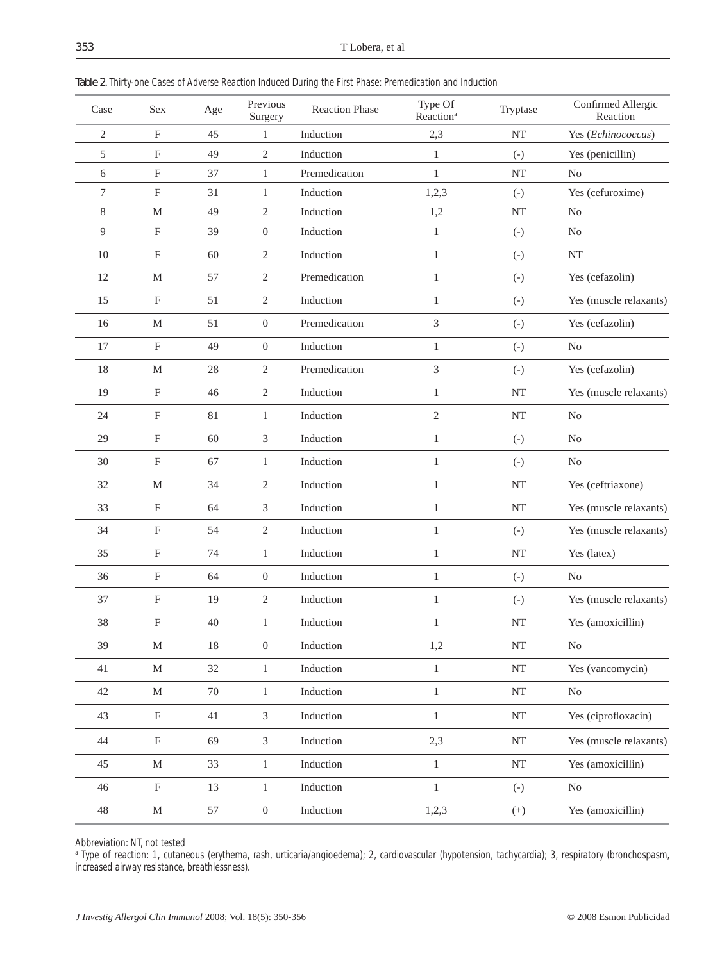| Case           | Sex                       | Age    | Previous<br>Surgery | <b>Reaction Phase</b> | Type Of<br>Reaction <sup>a</sup> | Tryptase     | Confirmed Allergic<br>Reaction |
|----------------|---------------------------|--------|---------------------|-----------------------|----------------------------------|--------------|--------------------------------|
| $\mathfrak{2}$ | $\boldsymbol{\mathrm{F}}$ | 45     | 1                   | Induction             | 2,3                              | <b>NT</b>    | Yes (Echinococcus)             |
| 5              | $_{\rm F}$                | 49     | $\sqrt{2}$          | Induction             | $\mathbf{1}$                     | $(-)$        | Yes (penicillin)               |
| 6              | $\mathbf F$               | 37     | $\mathbf{1}$        | Premedication         | $\mathbf{1}$                     | NT           | No                             |
| 7              | $\mathbf F$               | 31     | $\mathbf{1}$        | Induction             | 1,2,3                            | $(-)$        | Yes (cefuroxime)               |
| 8              | M                         | 49     | $\sqrt{2}$          | Induction             | 1,2                              | <b>NT</b>    | N <sub>0</sub>                 |
| 9              | $\mathbf{F}$              | 39     | $\boldsymbol{0}$    | Induction             | $\mathbf{1}$                     | $(-)$        | N <sub>0</sub>                 |
| 10             | $\boldsymbol{\mathrm{F}}$ | 60     | $\overline{2}$      | Induction             | $\mathbf{1}$                     | $(-)$        | NT                             |
| 12             | M                         | 57     | $\mathfrak{2}$      | Premedication         | $\mathbf{1}$                     | $(-)$        | Yes (cefazolin)                |
| 15             | $\boldsymbol{\mathrm{F}}$ | 51     | $\overline{2}$      | Induction             | $\mathbf{1}$                     | $(-)$        | Yes (muscle relaxants)         |
| 16             | M                         | 51     | $\boldsymbol{0}$    | Premedication         | 3                                | $(-)$        | Yes (cefazolin)                |
| 17             | $\mathbf F$               | 49     | $\boldsymbol{0}$    | Induction             | $\mathbf{1}$                     | $(-)$        | No                             |
| 18             | M                         | 28     | $\mathfrak{2}$      | Premedication         | 3                                | $(-)$        | Yes (cefazolin)                |
| 19             | $\boldsymbol{\mathrm{F}}$ | 46     | $\mathfrak{2}$      | Induction             | $\mathbf{1}$                     | <b>NT</b>    | Yes (muscle relaxants)         |
| 24             | $\boldsymbol{F}$          | 81     | $\mathbf{1}$        | Induction             | $\mathfrak{2}$                   | NT           | N <sub>0</sub>                 |
| 29             | F                         | 60     | 3                   | Induction             | $\mathbf{1}$                     | $(-)$        | N <sub>0</sub>                 |
| 30             | $\boldsymbol{\mathrm{F}}$ | 67     | $\mathbf{1}$        | Induction             | $\mathbf{1}$                     | $(-)$        | N <sub>0</sub>                 |
| 32             | $\mathbf M$               | 34     | $\mathfrak{2}$      | Induction             | $\mathbf{1}$                     | NT           | Yes (ceftriaxone)              |
| 33             | $\mathbf F$               | 64     | 3                   | Induction             | $\mathbf{1}$                     | <b>NT</b>    | Yes (muscle relaxants)         |
| 34             | $\boldsymbol{\mathrm{F}}$ | 54     | $\overline{2}$      | Induction             | $\mathbf{1}$                     | $(-)$        | Yes (muscle relaxants)         |
| 35             | $\boldsymbol{\mathrm{F}}$ | 74     | $\mathbf{1}$        | Induction             | $\mathbf{1}$                     | <b>NT</b>    | Yes (latex)                    |
| 36             | $\boldsymbol{\mathrm{F}}$ | 64     | $\boldsymbol{0}$    | Induction             | $\mathbf{1}$                     | $(-)$        | N <sub>0</sub>                 |
| 37             | $\boldsymbol{\mathrm{F}}$ | 19     | $\sqrt{2}$          | Induction             | $\mathbf{1}$                     | $(-)$        | Yes (muscle relaxants)         |
| 38             | $\mathbf F$               | 40     | $\mathbf{1}$        | Induction             | $\mathbf{1}$                     | <b>NT</b>    | Yes (amoxicillin)              |
| 39             | $\mathbf M$               | 18     | $\boldsymbol{0}$    | Induction             | 1,2                              | $\rm{NT}$    | $\rm No$                       |
| 41             | $\mathbf M$               | 32     | $\mathbf{1}$        | Induction             | $\,1$                            | $\rm{NT}$    | Yes (vancomycin)               |
| 42             | М                         | $70\,$ | $\mathbf{1}$        | Induction             | $\mathbf{1}$                     | $\rm{NT}$    | No                             |
| 43             | $\mathbf F$               | 41     | $\mathfrak{Z}$      | Induction             | $\,1\,$                          | $\rm{NT}$    | Yes (ciprofloxacin)            |
| 44             | $\mathbf F$               | 69     | $\mathfrak{Z}$      | Induction             | 2,3                              | $\rm{NT}$    | Yes (muscle relaxants)         |
| 45             | $\mathbf M$               | 33     | $\mathbf{1}$        | Induction             | $\mathbf{1}$                     | $\rm{NT}$    | Yes (amoxicillin)              |
| 46             | $\boldsymbol{\mathrm{F}}$ | 13     | $\,1$               | Induction             | $\mathbf{1}$                     | $(\text{-})$ | $\rm No$                       |
| $48\,$         | $\mathbf M$               | 57     | $\overline{0}$      | Induction             | 1,2,3                            | $^{(+)}$     | Yes (amoxicillin)              |

Table 2. Thirty-one Cases of Adverse Reaction Induced During the First Phase: Premedication and Induction

Abbreviation: NT, not tested

l

a Type of reaction: 1, cutaneous (erythema, rash, urticaria/angioedema); 2, cardiovascular (hypotension, tachycardia); 3, respiratory (bronchospasm, increased airway resistance, breathlessness).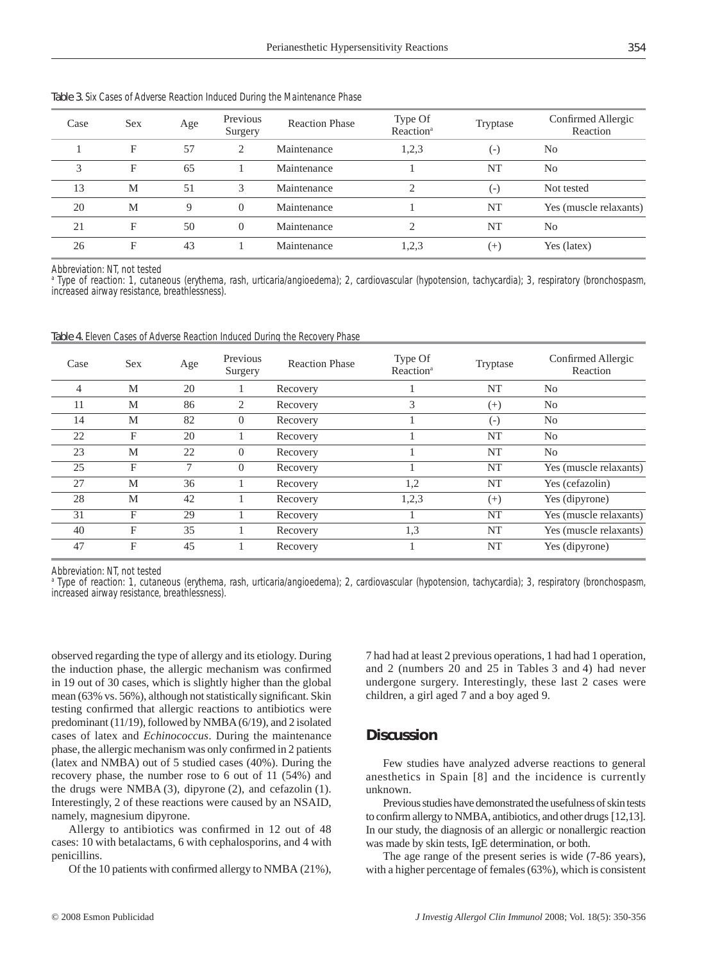| Case | <b>Sex</b> | Age | Previous<br>Surgery | <b>Reaction Phase</b> | Type Of<br>Reaction <sup>a</sup>                                                                                                                                | Tryptase           | Confirmed Allergic<br>Reaction |
|------|------------|-----|---------------------|-----------------------|-----------------------------------------------------------------------------------------------------------------------------------------------------------------|--------------------|--------------------------------|
|      | F          | 57  | 2                   | Maintenance           | 1,2,3                                                                                                                                                           | $(\textnormal{-})$ | N <sub>o</sub>                 |
| 3    | F          | 65  |                     | Maintenance           |                                                                                                                                                                 | NT                 | N <sub>o</sub>                 |
| 13   | M          | 51  | 3                   | Maintenance           | ↑                                                                                                                                                               | $(-)$              | Not tested                     |
| 20   | M          | 9   | $\Omega$            | Maintenance           |                                                                                                                                                                 | NT                 | Yes (muscle relaxants)         |
| 21   | F          | 50  | $\overline{0}$      | Maintenance           | $\mathcal{D}_{\mathcal{L}}^{\mathcal{L}}(\mathcal{L})=\mathcal{L}_{\mathcal{L}}^{\mathcal{L}}(\mathcal{L})\mathcal{L}_{\mathcal{L}}^{\mathcal{L}}(\mathcal{L})$ | NT                 | No                             |
| 26   | F          | 43  |                     | Maintenance           | 1,2,3                                                                                                                                                           | $^{(+)}$           | Yes (latex)                    |

Table 3. Six Cases of Adverse Reaction Induced During the Maintenance Phase

Abbreviation: NT, not tested

a Type of reaction: 1, cutaneous (erythema, rash, urticaria/angioedema); 2, cardiovascular (hypotension, tachycardia); 3, respiratory (bronchospasm, increased airway resistance, breathlessness).

Table 4. Eleven Cases of Adverse Reaction Induced During the Recovery Phase

| Case           | <b>Sex</b> | Age | Previous<br>Surgery | <b>Reaction Phase</b> | Type Of<br>Reaction <sup>a</sup> | Tryptase  | Confirmed Allergic<br>Reaction |
|----------------|------------|-----|---------------------|-----------------------|----------------------------------|-----------|--------------------------------|
| $\overline{4}$ | М          | 20  |                     | Recovery              |                                  | <b>NT</b> | N <sub>0</sub>                 |
| 11             | M          | 86  | 2                   | Recovery              | 3                                | $^{(+)}$  | N <sub>0</sub>                 |
| 14             | M          | 82  | $\overline{0}$      | Recovery              |                                  | $(-)$     | N <sub>o</sub>                 |
| 22             | F          | 20  |                     | Recovery              |                                  | <b>NT</b> | N <sub>o</sub>                 |
| 23             | M          | 22  | $\Omega$            | Recovery              |                                  | NT        | N <sub>0</sub>                 |
| 25             | F          | 7   | $\Omega$            | Recovery              |                                  | <b>NT</b> | Yes (muscle relaxants)         |
| 27             | М          | 36  |                     | Recovery              | 1,2                              | NT        | Yes (cefazolin)                |
| 28             | M          | 42  |                     | Recovery              | 1,2,3                            | $(+)$     | Yes (dipyrone)                 |
| 31             | F          | 29  |                     | Recovery              |                                  | NT        | Yes (muscle relaxants)         |
| 40             | F          | 35  |                     | Recovery              | 1,3                              | NT        | Yes (muscle relaxants)         |
| 47             | F          | 45  |                     | Recovery              |                                  | <b>NT</b> | Yes (dipyrone)                 |

Abbreviation: NT, not tested

a Type of reaction: 1, cutaneous (erythema, rash, urticaria/angioedema); 2, cardiovascular (hypotension, tachycardia); 3, respiratory (bronchospasm, increased airway resistance, breathlessness).

observed regarding the type of allergy and its etiology. During the induction phase, the allergic mechanism was confirmed in 19 out of 30 cases, which is slightly higher than the global mean (63% vs. 56%), although not statistically significant. Skin testing confirmed that allergic reactions to antibiotics were predominant (11/19), followed by NMBA (6/19), and 2 isolated cases of latex and *Echinococcus*. During the maintenance phase, the allergic mechanism was only confirmed in 2 patients (latex and NMBA) out of 5 studied cases (40%). During the recovery phase, the number rose to 6 out of 11 (54%) and the drugs were NMBA (3), dipyrone (2), and cefazolin (1). Interestingly, 2 of these reactions were caused by an NSAID, namely, magnesium dipyrone.

Allergy to antibiotics was confirmed in  $12$  out of  $48$ cases: 10 with betalactams, 6 with cephalosporins, and 4 with penicillins.

Of the 10 patients with confirmed allergy to NMBA (21%),

7 had had at least 2 previous operations, 1 had had 1 operation, and 2 (numbers 20 and 25 in Tables 3 and 4) had never undergone surgery. Interestingly, these last 2 cases were children, a girl aged 7 and a boy aged 9.

## **Discussion**

Few studies have analyzed adverse reactions to general anesthetics in Spain [8] and the incidence is currently unknown.

Previous studies have demonstrated the usefulness of skin tests to confirm allergy to NMBA, antibiotics, and other drugs [12,13]. In our study, the diagnosis of an allergic or nonallergic reaction was made by skin tests, IgE determination, or both.

The age range of the present series is wide (7-86 years), with a higher percentage of females (63%), which is consistent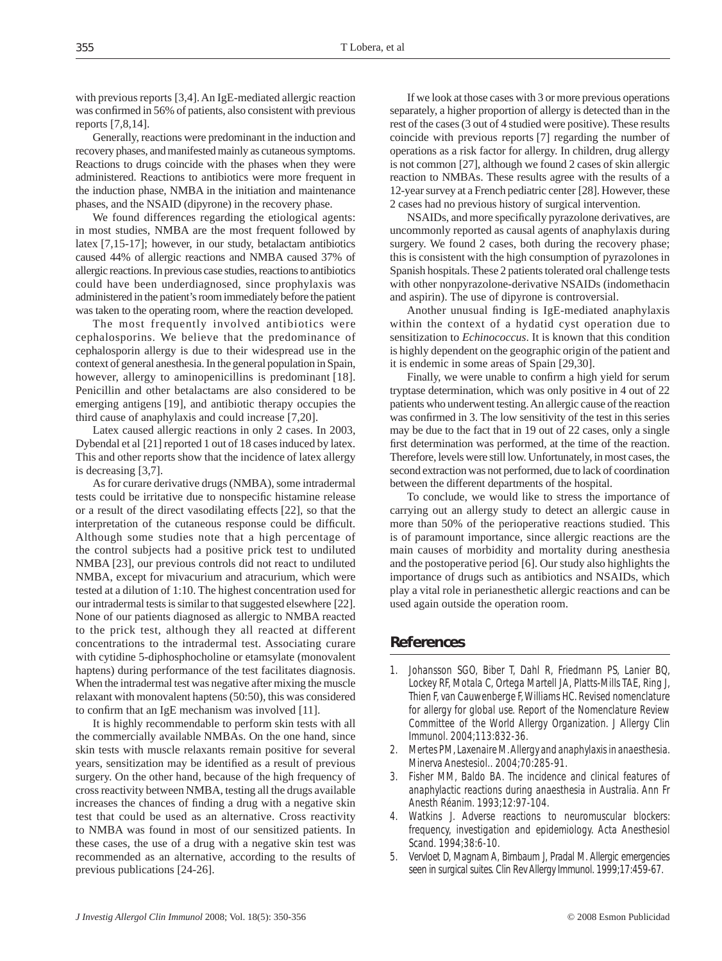with previous reports [3,4]. An IgE-mediated allergic reaction was confirmed in 56% of patients, also consistent with previous reports [7,8,14].

Generally, reactions were predominant in the induction and recovery phases, and manifested mainly as cutaneous symptoms. Reactions to drugs coincide with the phases when they were administered. Reactions to antibiotics were more frequent in the induction phase, NMBA in the initiation and maintenance phases, and the NSAID (dipyrone) in the recovery phase.

We found differences regarding the etiological agents: in most studies, NMBA are the most frequent followed by latex [7,15-17]; however, in our study, betalactam antibiotics caused 44% of allergic reactions and NMBA caused 37% of allergic reactions. In previous case studies, reactions to antibiotics could have been underdiagnosed, since prophylaxis was administered in the patient's room immediately before the patient was taken to the operating room, where the reaction developed.

The most frequently involved antibiotics were cephalosporins. We believe that the predominance of cephalosporin allergy is due to their widespread use in the context of general anesthesia. In the general population in Spain, however, allergy to aminopenicillins is predominant [18]. Penicillin and other betalactams are also considered to be emerging antigens [19], and antibiotic therapy occupies the third cause of anaphylaxis and could increase [7,20].

Latex caused allergic reactions in only 2 cases. In 2003, Dybendal et al [21] reported 1 out of 18 cases induced by latex. This and other reports show that the incidence of latex allergy is decreasing [3,7].

As for curare derivative drugs (NMBA), some intradermal tests could be irritative due to nonspecific histamine release or a result of the direct vasodilating effects [22], so that the interpretation of the cutaneous response could be difficult. Although some studies note that a high percentage of the control subjects had a positive prick test to undiluted NMBA [23], our previous controls did not react to undiluted NMBA, except for mivacurium and atracurium, which were tested at a dilution of 1:10. The highest concentration used for our intradermal tests is similar to that suggested elsewhere [22]. None of our patients diagnosed as allergic to NMBA reacted to the prick test, although they all reacted at different concentrations to the intradermal test. Associating curare with cytidine 5-diphosphocholine or etamsylate (monovalent haptens) during performance of the test facilitates diagnosis. When the intradermal test was negative after mixing the muscle relaxant with monovalent haptens (50:50), this was considered to confirm that an IgE mechanism was involved [11].

It is highly recommendable to perform skin tests with all the commercially available NMBAs. On the one hand, since skin tests with muscle relaxants remain positive for several years, sensitization may be identified as a result of previous surgery. On the other hand, because of the high frequency of cross reactivity between NMBA, testing all the drugs available increases the chances of finding a drug with a negative skin test that could be used as an alternative. Cross reactivity to NMBA was found in most of our sensitized patients. In these cases, the use of a drug with a negative skin test was recommended as an alternative, according to the results of previous publications [24-26].

If we look at those cases with 3 or more previous operations separately, a higher proportion of allergy is detected than in the rest of the cases (3 out of 4 studied were positive). These results coincide with previous reports [7] regarding the number of operations as a risk factor for allergy. In children, drug allergy is not common [27], although we found 2 cases of skin allergic reaction to NMBAs. These results agree with the results of a 12-year survey at a French pediatric center [28]. However, these 2 cases had no previous history of surgical intervention.

NSAIDs, and more specifically pyrazolone derivatives, are uncommonly reported as causal agents of anaphylaxis during surgery. We found 2 cases, both during the recovery phase; this is consistent with the high consumption of pyrazolones in Spanish hospitals. These 2 patients tolerated oral challenge tests with other nonpyrazolone-derivative NSAIDs (indomethacin and aspirin). The use of dipyrone is controversial.

Another unusual finding is IgE-mediated anaphylaxis within the context of a hydatid cyst operation due to sensitization to *Echinococcus*. It is known that this condition is highly dependent on the geographic origin of the patient and it is endemic in some areas of Spain [29,30].

Finally, we were unable to confirm a high yield for serum tryptase determination, which was only positive in 4 out of 22 patients who underwent testing. An allergic cause of the reaction was confirmed in 3. The low sensitivity of the test in this series may be due to the fact that in 19 out of 22 cases, only a single first determination was performed, at the time of the reaction. Therefore, levels were still low. Unfortunately, in most cases, the second extraction was not performed, due to lack of coordination between the different departments of the hospital.

To conclude, we would like to stress the importance of carrying out an allergy study to detect an allergic cause in more than 50% of the perioperative reactions studied. This is of paramount importance, since allergic reactions are the main causes of morbidity and mortality during anesthesia and the postoperative period [6]. Our study also highlights the importance of drugs such as antibiotics and NSAIDs, which play a vital role in perianesthetic allergic reactions and can be used again outside the operation room.

# **References**

- 1. Johansson SGO, Biber T, Dahl R, Friedmann PS, Lanier BQ, Lockey RF, Motala C, Ortega Martell JA, Platts-Mills TAE, Ring J, Thien F, van Cauwenberge F, Williams HC. Revised nomenclature for allergy for global use. Report of the Nomenclature Review Committee of the World Allergy Organization. J Allergy Clin Immunol. 2004;113:832-36.
- 2. Mertes PM, Laxenaire M. Allergy and anaphylaxis in anaesthesia. Minerva Anestesiol.. 2004;70:285-91.
- 3. Fisher MM, Baldo BA. The incidence and clinical features of anaphylactic reactions during anaesthesia in Australia. Ann Fr Anesth Réanim. 1993;12:97-104.
- 4. Watkins J. Adverse reactions to neuromuscular blockers: frequency, investigation and epidemiology. Acta Anesthesiol Scand. 1994;38:6-10.
- 5. Vervloet D, Magnam A, Birnbaum J, Pradal M. Allergic emergencies seen in surgical suites. Clin Rev Allergy Immunol. 1999;17:459-67.